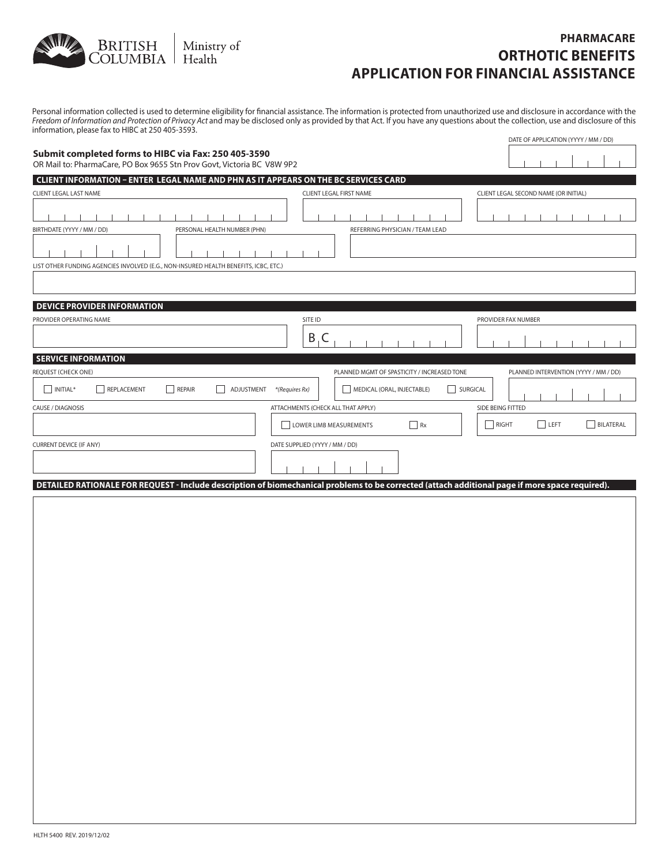

### **PHARMACARE ORTHOTIC BENEFITS APPLICATION FOR FINANCIAL ASSISTANCE**

Personal information collected is used to determine eligibility for financial assistance. The information is protected from unauthorized use and disclosure in accordance with the Freedom of Information and Protection of Privacy Act and may be disclosed only as provided by that Act. If you have any questions about the collection, use and disclosure of this information, please fax to HIBC at 250 405-3593. DATE OF APPLICATION (YYYY / MM / DD)

| Submit completed forms to HIBC via Fax: 250 405-3590<br>OR Mail to: PharmaCare, PO Box 9655 Stn Prov Govt, Victoria BC V8W 9P2 |                                             |                                                                                     |  |  |
|--------------------------------------------------------------------------------------------------------------------------------|---------------------------------------------|-------------------------------------------------------------------------------------|--|--|
| <b>CLIENT INFORMATION - ENTER LEGAL NAME AND PHN AS IT APPEARS ON THE BC SERVICES CARD</b>                                     |                                             |                                                                                     |  |  |
| CLIENT LEGAL LAST NAME                                                                                                         | <b>CLIENT LEGAL FIRST NAME</b>              | CLIENT LEGAL SECOND NAME (OR INITIAL)                                               |  |  |
|                                                                                                                                |                                             |                                                                                     |  |  |
| BIRTHDATE (YYYY / MM / DD)<br>PERSONAL HEALTH NUMBER (PHN)                                                                     | REFERRING PHYSICIAN / TEAM LEAD             |                                                                                     |  |  |
| LIST OTHER FUNDING AGENCIES INVOLVED (E.G., NON-INSURED HEALTH BENEFITS, ICBC, ETC.)                                           |                                             |                                                                                     |  |  |
| <b>DEVICE PROVIDER INFORMATION</b><br>PROVIDER OPERATING NAME                                                                  | SITE ID                                     | PROVIDER FAX NUMBER                                                                 |  |  |
|                                                                                                                                | B<br>.C                                     |                                                                                     |  |  |
| <b>SERVICE INFORMATION</b>                                                                                                     |                                             |                                                                                     |  |  |
| <b>REQUEST (CHECK ONE)</b>                                                                                                     | PLANNED MGMT OF SPASTICITY / INCREASED TONE | PLANNED INTERVENTION (YYYY / MM / DD)                                               |  |  |
| REPLACEMENT<br><b>REPAIR</b><br>INITIAL*<br>ADJUSTMENT<br>*(Requires Rx)                                                       | MEDICAL (ORAL, INJECTABLE)<br>SURGICAL      |                                                                                     |  |  |
| CAUSE / DIAGNOSIS                                                                                                              | ATTACHMENTS (CHECK ALL THAT APPLY)          | SIDE BEING FITTED                                                                   |  |  |
|                                                                                                                                | Rx<br><b>LOWER LIMB MEASUREMENTS</b>        | $\vert \ \ \vert$<br>RIGHT<br>LEFT<br><b>BILATERAL</b>                              |  |  |
| <b>CURRENT DEVICE (IF ANY)</b>                                                                                                 | DATE SUPPLIED (YYYY / MM / DD)              |                                                                                     |  |  |
| <b>DETAILED DATIONALE FOR REQUEST.</b> Include description of his                                                              |                                             | the article of the second distance is a second second and the state of the state of |  |  |

**DETAILED RATIONALE FOR REQUEST - Include description of biomechanical problems to be corrected (attach additional page if more space required).**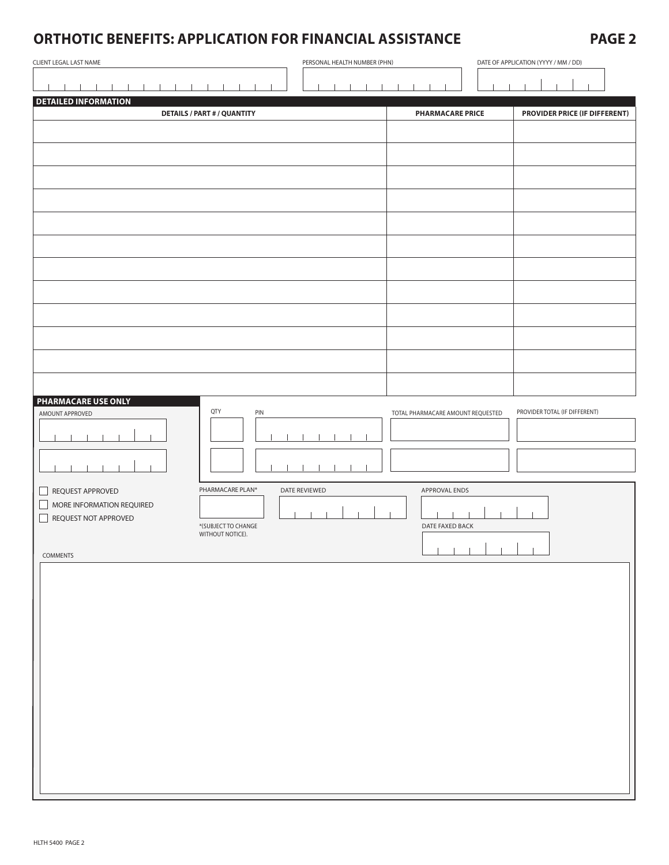# **ORTHOTIC BENEFITS: APPLICATION FOR FINANCIAL ASSISTANCE PAGE 2**

| CLIENT LEGAL LAST NAME                                                | PERSONAL HEALTH NUMBER (PHN)            |               |                                   | DATE OF APPLICATION (YYYY / MM / DD) |                               |  |
|-----------------------------------------------------------------------|-----------------------------------------|---------------|-----------------------------------|--------------------------------------|-------------------------------|--|
|                                                                       |                                         |               |                                   |                                      |                               |  |
| <b>DETAILED INFORMATION</b>                                           |                                         |               |                                   |                                      |                               |  |
|                                                                       | <b>DETAILS / PART # / QUANTITY</b>      |               | <b>PHARMACARE PRICE</b>           |                                      | PROVIDER PRICE (IF DIFFERENT) |  |
|                                                                       |                                         |               |                                   |                                      |                               |  |
|                                                                       |                                         |               |                                   |                                      |                               |  |
|                                                                       |                                         |               |                                   |                                      |                               |  |
|                                                                       |                                         |               |                                   |                                      |                               |  |
|                                                                       |                                         |               |                                   |                                      |                               |  |
|                                                                       |                                         |               |                                   |                                      |                               |  |
|                                                                       |                                         |               |                                   |                                      |                               |  |
|                                                                       |                                         |               |                                   |                                      |                               |  |
|                                                                       |                                         |               |                                   |                                      |                               |  |
|                                                                       |                                         |               |                                   |                                      |                               |  |
|                                                                       |                                         |               |                                   |                                      |                               |  |
|                                                                       |                                         |               |                                   |                                      |                               |  |
|                                                                       |                                         |               |                                   |                                      |                               |  |
|                                                                       |                                         |               |                                   |                                      |                               |  |
| <b>PHARMACARE USE ONLY</b>                                            |                                         |               |                                   |                                      |                               |  |
| AMOUNT APPROVED                                                       | QTY<br>PIN                              |               | TOTAL PHARMACARE AMOUNT REQUESTED |                                      | PROVIDER TOTAL (IF DIFFERENT) |  |
|                                                                       |                                         |               |                                   |                                      |                               |  |
|                                                                       |                                         |               |                                   |                                      |                               |  |
|                                                                       |                                         |               |                                   |                                      |                               |  |
| REQUEST APPROVED<br>$\sqcup$                                          | PHARMACARE PLAN*                        | DATE REVIEWED | APPROVAL ENDS                     |                                      |                               |  |
| MORE INFORMATION REQUIRED<br>$\Box$<br>REQUEST NOT APPROVED<br>$\Box$ |                                         |               |                                   |                                      |                               |  |
|                                                                       | *(SUBJECT TO CHANGE<br>WITHOUT NOTICE). |               | DATE FAXED BACK                   |                                      |                               |  |
| COMMENTS                                                              |                                         |               |                                   |                                      |                               |  |
|                                                                       |                                         |               |                                   |                                      |                               |  |
|                                                                       |                                         |               |                                   |                                      |                               |  |
|                                                                       |                                         |               |                                   |                                      |                               |  |
|                                                                       |                                         |               |                                   |                                      |                               |  |
|                                                                       |                                         |               |                                   |                                      |                               |  |
|                                                                       |                                         |               |                                   |                                      |                               |  |
|                                                                       |                                         |               |                                   |                                      |                               |  |
|                                                                       |                                         |               |                                   |                                      |                               |  |
|                                                                       |                                         |               |                                   |                                      |                               |  |
|                                                                       |                                         |               |                                   |                                      |                               |  |
|                                                                       |                                         |               |                                   |                                      |                               |  |
|                                                                       |                                         |               |                                   |                                      |                               |  |
|                                                                       |                                         |               |                                   |                                      |                               |  |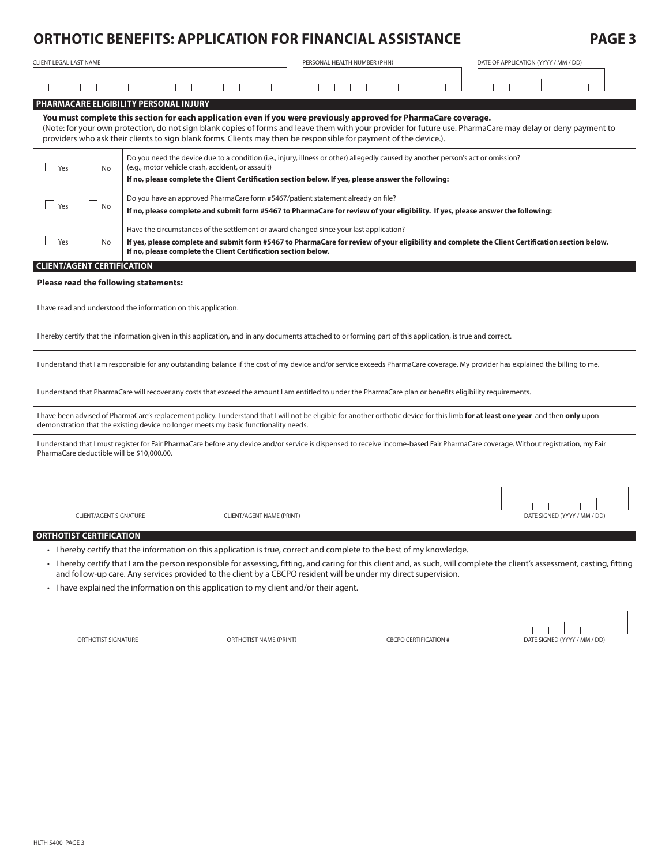# **ORTHOTIC BENEFITS: APPLICATION FOR FINANCIAL ASSISTANCE PAGE 3**

| CLIENT LEGAL LAST NAME                                                                                                                                                                                                                                                                                                   |                                                                                                                                                                                                                                                                                                                                                                                                       |                           | PERSONAL HEALTH NUMBER (PHN) |  |                              |  | DATE OF APPLICATION (YYYY / MM / DD) |
|--------------------------------------------------------------------------------------------------------------------------------------------------------------------------------------------------------------------------------------------------------------------------------------------------------------------------|-------------------------------------------------------------------------------------------------------------------------------------------------------------------------------------------------------------------------------------------------------------------------------------------------------------------------------------------------------------------------------------------------------|---------------------------|------------------------------|--|------------------------------|--|--------------------------------------|
|                                                                                                                                                                                                                                                                                                                          |                                                                                                                                                                                                                                                                                                                                                                                                       |                           |                              |  |                              |  |                                      |
|                                                                                                                                                                                                                                                                                                                          | PHARMACARE ELIGIBILITY PERSONAL INJURY                                                                                                                                                                                                                                                                                                                                                                |                           |                              |  |                              |  |                                      |
|                                                                                                                                                                                                                                                                                                                          | You must complete this section for each application even if you were previously approved for PharmaCare coverage.<br>(Note: for your own protection, do not sign blank copies of forms and leave them with your provider for future use. PharmaCare may delay or deny payment to<br>providers who ask their clients to sign blank forms. Clients may then be responsible for payment of the device.). |                           |                              |  |                              |  |                                      |
| Yes<br>$\Box$ No                                                                                                                                                                                                                                                                                                         | Do you need the device due to a condition (i.e., injury, illness or other) allegedly caused by another person's act or omission?<br>(e.g., motor vehicle crash, accident, or assault)<br>If no, please complete the Client Certification section below. If yes, please answer the following:                                                                                                          |                           |                              |  |                              |  |                                      |
| Do you have an approved PharmaCare form #5467/patient statement already on file?<br>Yes<br><b>No</b><br>If no, please complete and submit form #5467 to PharmaCare for review of your eligibility. If yes, please answer the following:                                                                                  |                                                                                                                                                                                                                                                                                                                                                                                                       |                           |                              |  |                              |  |                                      |
| Have the circumstances of the settlement or award changed since your last application?<br>Yes<br>No<br>If yes, please complete and submit form #5467 to PharmaCare for review of your eligibility and complete the Client Certification section below.<br>If no, please complete the Client Certification section below. |                                                                                                                                                                                                                                                                                                                                                                                                       |                           |                              |  |                              |  |                                      |
| <b>CLIENT/AGENT CERTIFICATION</b>                                                                                                                                                                                                                                                                                        |                                                                                                                                                                                                                                                                                                                                                                                                       |                           |                              |  |                              |  |                                      |
| Please read the following statements:                                                                                                                                                                                                                                                                                    |                                                                                                                                                                                                                                                                                                                                                                                                       |                           |                              |  |                              |  |                                      |
| I have read and understood the information on this application.                                                                                                                                                                                                                                                          |                                                                                                                                                                                                                                                                                                                                                                                                       |                           |                              |  |                              |  |                                      |
| I hereby certify that the information given in this application, and in any documents attached to or forming part of this application, is true and correct.                                                                                                                                                              |                                                                                                                                                                                                                                                                                                                                                                                                       |                           |                              |  |                              |  |                                      |
| I understand that I am responsible for any outstanding balance if the cost of my device and/or service exceeds PharmaCare coverage. My provider has explained the billing to me.                                                                                                                                         |                                                                                                                                                                                                                                                                                                                                                                                                       |                           |                              |  |                              |  |                                      |
| I understand that PharmaCare will recover any costs that exceed the amount I am entitled to under the PharmaCare plan or benefits eligibility requirements.                                                                                                                                                              |                                                                                                                                                                                                                                                                                                                                                                                                       |                           |                              |  |                              |  |                                      |
| I have been advised of PharmaCare's replacement policy. I understand that I will not be eligible for another orthotic device for this limb for at least one year and then only upon<br>demonstration that the existing device no longer meets my basic functionality needs.                                              |                                                                                                                                                                                                                                                                                                                                                                                                       |                           |                              |  |                              |  |                                      |
| I understand that I must register for Fair PharmaCare before any device and/or service is dispensed to receive income-based Fair PharmaCare coverage. Without registration, my Fair<br>PharmaCare deductible will be \$10,000.00.                                                                                        |                                                                                                                                                                                                                                                                                                                                                                                                       |                           |                              |  |                              |  |                                      |
|                                                                                                                                                                                                                                                                                                                          |                                                                                                                                                                                                                                                                                                                                                                                                       |                           |                              |  |                              |  |                                      |
| CLIENT/AGENT SIGNATURE                                                                                                                                                                                                                                                                                                   |                                                                                                                                                                                                                                                                                                                                                                                                       | CLIENT/AGENT NAME (PRINT) |                              |  |                              |  | DATE SIGNED (YYYY / MM / DD)         |
| <b>ORTHOTIST CERTIFICATION</b>                                                                                                                                                                                                                                                                                           |                                                                                                                                                                                                                                                                                                                                                                                                       |                           |                              |  |                              |  |                                      |
|                                                                                                                                                                                                                                                                                                                          | • I hereby certify that the information on this application is true, correct and complete to the best of my knowledge.                                                                                                                                                                                                                                                                                |                           |                              |  |                              |  |                                      |
| • I hereby certify that I am the person responsible for assessing, fitting, and caring for this client and, as such, will complete the client's assessment, casting, fitting<br>and follow-up care. Any services provided to the client by a CBCPO resident will be under my direct supervision.                         |                                                                                                                                                                                                                                                                                                                                                                                                       |                           |                              |  |                              |  |                                      |
| • I have explained the information on this application to my client and/or their agent.                                                                                                                                                                                                                                  |                                                                                                                                                                                                                                                                                                                                                                                                       |                           |                              |  |                              |  |                                      |
| ORTHOTIST SIGNATURE                                                                                                                                                                                                                                                                                                      |                                                                                                                                                                                                                                                                                                                                                                                                       | ORTHOTIST NAME (PRINT)    |                              |  | <b>CBCPO CERTIFICATION #</b> |  | DATE SIGNED (YYYY / MM / DD)         |